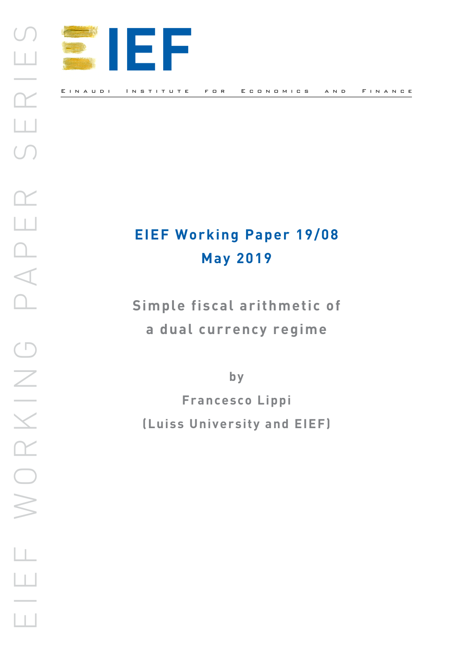

## **EIEF Working Paper 19/08 May 2019**

**Simple fiscal arithmetic of a dual currency regime** 

**by**

**Francesco Lippi (Luiss University and EIEF)**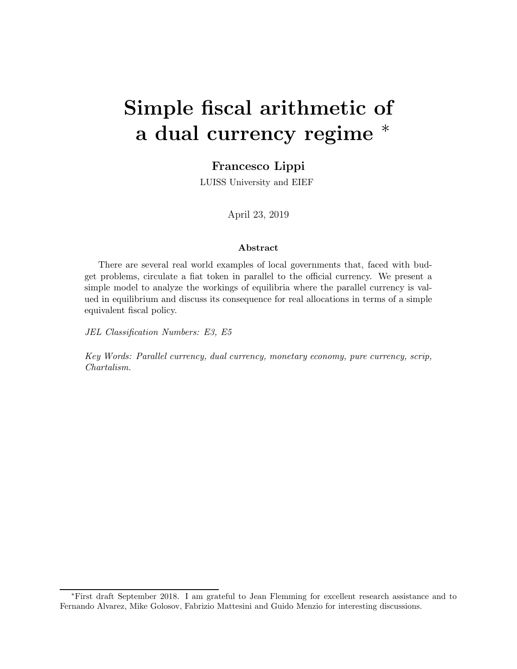# Simple fiscal arithmetic of a dual currency regime  $*$

### Francesco Lippi

LUISS University and EIEF

April 23, 2019

#### Abstract

There are several real world examples of local governments that, faced with budget problems, circulate a fiat token in parallel to the official currency. We present a simple model to analyze the workings of equilibria where the parallel currency is valued in equilibrium and discuss its consequence for real allocations in terms of a simple equivalent fiscal policy.

JEL Classification Numbers: E3, E5

Key Words: Parallel currency, dual currency, monetary economy, pure currency, scrip, Chartalism.

<sup>∗</sup>First draft September 2018. I am grateful to Jean Flemming for excellent research assistance and to Fernando Alvarez, Mike Golosov, Fabrizio Mattesini and Guido Menzio for interesting discussions.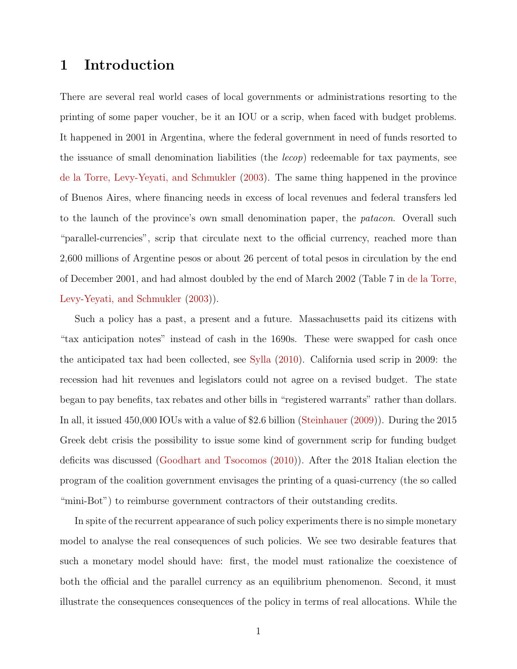### 1 Introduction

There are several real world cases of local governments or administrations resorting to the printing of some paper voucher, be it an IOU or a scrip, when faced with budget problems. It happened in 2001 in Argentina, where the federal government in need of funds resorted to the issuance of small denomination liabilities (the  $lecop$ ) redeemable for tax payments, see [de la Torre, Levy-Yeyati, and Schmukler](#page-12-0) [\(2003](#page-12-0)). The same thing happened in the province of Buenos Aires, where financing needs in excess of local revenues and federal transfers led to the launch of the province's own small denomination paper, the *patacon*. Overall such "parallel-currencies", scrip that circulate next to the official currency, reached more than 2,600 millions of Argentine pesos or about 26 percent of total pesos in circulation by the end of December 2001, and had [almost doubled by the end of March 2002](#page-12-0) (Table 7 in de la Torre, Levy-Yeyati, and Schmukler [\(2003](#page-12-0))).

Such a policy has a past, a present and a future. Massachusetts paid its citizens with "tax anticipation notes" instead of cash in the 1690s. These were swapped for cash once the anticipated tax had been collected, see [Sylla](#page-13-0) [\(2010\)](#page-13-0). California used scrip in 2009: the recession had hit revenues and legislators could not agree on a revised budget. The state began to pay benefits, tax rebates and other bills in "registered warrants" rather than dollars. In all, it issued 450,000 IOUs with a value of \$2.6 billion [\(Steinhauer](#page-13-1) [\(2009\)](#page-13-1)). During the 2015 Greek debt crisis the possibility to issue some kind of government scrip for funding budget deficits was discussed [\(Goodhart and Tsocomos](#page-12-1) [\(2010](#page-12-1))). After the 2018 Italian election the program of the coalition government envisages the printing of a quasi-currency (the so called "mini-Bot") to reimburse government contractors of their outstanding credits.

In spite of the recurrent appearance of such policy experiments there is no simple monetary model to analyse the real consequences of such policies. We see two desirable features that such a monetary model should have: first, the model must rationalize the coexistence of both the official and the parallel currency as an equilibrium phenomenon. Second, it must illustrate the consequences consequences of the policy in terms of real allocations. While the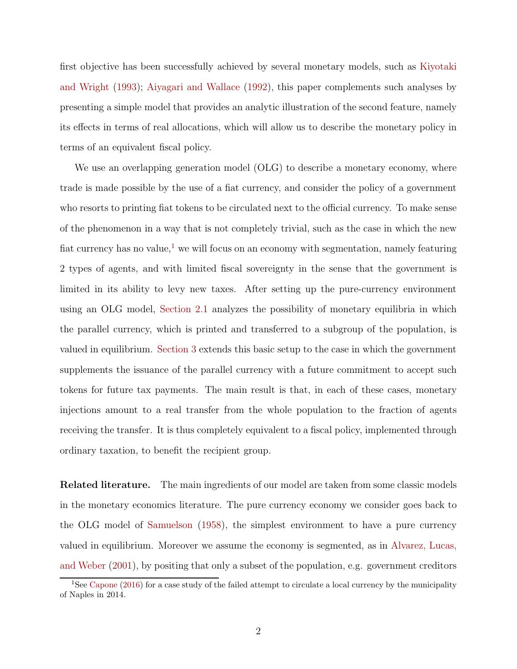first object[ive has been successfully achieved by several monetary models, such as](#page-12-2) Kiyotaki and Wright [\(1993\)](#page-12-2); [Aiyagari and Wallace](#page-12-3) [\(1992\)](#page-12-3), this paper complements such analyses by presenting a simple model that provides an analytic illustration of the second feature, namely its effects in terms of real allocations, which will allow us to describe the monetary policy in terms of an equivalent fiscal policy.

We use an overlapping generation model (OLG) to describe a monetary economy, where trade is made possible by the use of a fiat currency, and consider the policy of a government who resorts to printing fiat tokens to be circulated next to the official currency. To make sense of the phenomenon in a way that is not completely trivial, such as the case in which the new fiat currency has no value,<sup>[1](#page-3-0)</sup> we will focus on an economy with segmentation, namely featuring 2 types of agents, and with limited fiscal sovereignty in the sense that the government is limited in its ability to levy new taxes. After setting up the pure-currency environment using an OLG model, [Section 2.1](#page-6-0) analyzes the possibility of monetary equilibria in which the parallel currency, which is printed and transferred to a subgroup of the population, is valued in equilibrium. [Section 3](#page-9-0) extends this basic setup to the case in which the government supplements the issuance of the parallel currency with a future commitment to accept such tokens for future tax payments. The main result is that, in each of these cases, monetary injections amount to a real transfer from the whole population to the fraction of agents receiving the transfer. It is thus completely equivalent to a fiscal policy, implemented through ordinary taxation, to benefit the recipient group.

Related literature. The main ingredients of our model are taken from some classic models in the monetary economics literature. The pure currency economy we consider goes back to the OLG model of [Samuelson](#page-12-4) [\(1958](#page-12-4)), the simplest environment to have a pure currency valued in [equilibrium. Moreover we assume the economy is segmented,](#page-12-5) as in Alvarez, Lucas, and Weber [\(2001\)](#page-12-5), by positing that only a subset of the population, e.g. government creditors

<span id="page-3-0"></span><sup>&</sup>lt;sup>1</sup>See [Capone](#page-12-6) [\(2016\)](#page-12-6) for a case study of the failed attempt to circulate a local currency by the municipality of Naples in 2014.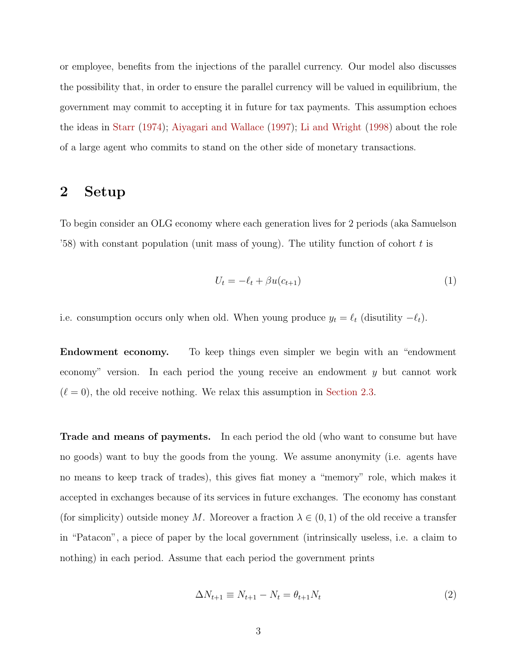or employee, benefits from the injections of the parallel currency. Our model also discusses the possibility that, in order to ensure the parallel currency will be valued in equilibrium, the government may commit to accepting it in future for tax payments. This assumption echoes the ideas in [Starr](#page-12-7) [\(1974\)](#page-12-7); [Aiyagari and Wallace](#page-12-8) [\(1997\)](#page-12-8); [Li and Wright](#page-12-9) [\(1998\)](#page-12-9) about the role of a large agent who commits to stand on the other side of monetary transactions.

## 2 Setup

To begin consider an OLG economy where each generation lives for 2 periods (aka Samuelson '58) with constant population (unit mass of young). The utility function of cohort  $t$  is

$$
U_t = -\ell_t + \beta u(c_{t+1}) \tag{1}
$$

i.e. consumption occurs only when old. When young produce  $y_t = \ell_t$  (disutility  $-\ell_t$ ).

Endowment economy. To keep things even simpler we begin with an "endowment economy" version. In each period the young receive an endowment y but cannot work  $(\ell = 0)$ , the old receive nothing. We relax this assumption in [Section 2.3.](#page-8-0)

Trade and means of payments. In each period the old (who want to consume but have no goods) want to buy the goods from the young. We assume anonymity (i.e. agents have no means to keep track of trades), this gives fiat money a "memory" role, which makes it accepted in exchanges because of its services in future exchanges. The economy has constant (for simplicity) outside money M. Moreover a fraction  $\lambda \in (0,1)$  of the old receive a transfer in "Patacon", a piece of paper by the local government (intrinsically useless, i.e. a claim to nothing) in each period. Assume that each period the government prints

$$
\Delta N_{t+1} \equiv N_{t+1} - N_t = \theta_{t+1} N_t \tag{2}
$$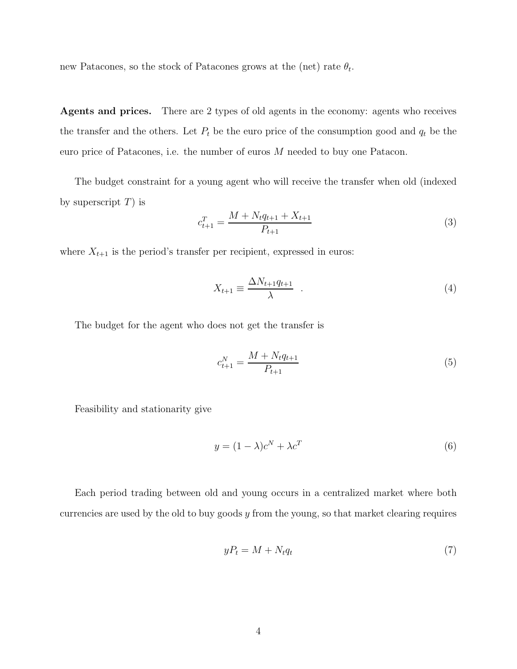new Patacones, so the stock of Patacones grows at the (net) rate  $\theta_t$ .

Agents and prices. There are 2 types of old agents in the economy: agents who receives the transfer and the others. Let  $P_t$  be the euro price of the consumption good and  $q_t$  be the euro price of Patacones, i.e. the number of euros M needed to buy one Patacon.

The budget constraint for a young agent who will receive the transfer when old (indexed by superscript  $T$ ) is

<span id="page-5-1"></span>
$$
c_{t+1}^T = \frac{M + N_t q_{t+1} + X_{t+1}}{P_{t+1}}
$$
\n
$$
\tag{3}
$$

where  $X_{t+1}$  is the period's transfer per recipient, expressed in euros:

$$
X_{t+1} \equiv \frac{\Delta N_{t+1} q_{t+1}}{\lambda} \quad . \tag{4}
$$

The budget for the agent who does not get the transfer is

<span id="page-5-2"></span>
$$
c_{t+1}^N = \frac{M + N_t q_{t+1}}{P_{t+1}}\tag{5}
$$

Feasibility and stationarity give

$$
y = (1 - \lambda)c^N + \lambda c^T \tag{6}
$$

Each period trading between old and young occurs in a centralized market where both currencies are used by the old to buy goods  $y$  from the young, so that market clearing requires

<span id="page-5-0"></span>
$$
yP_t = M + N_t q_t \tag{7}
$$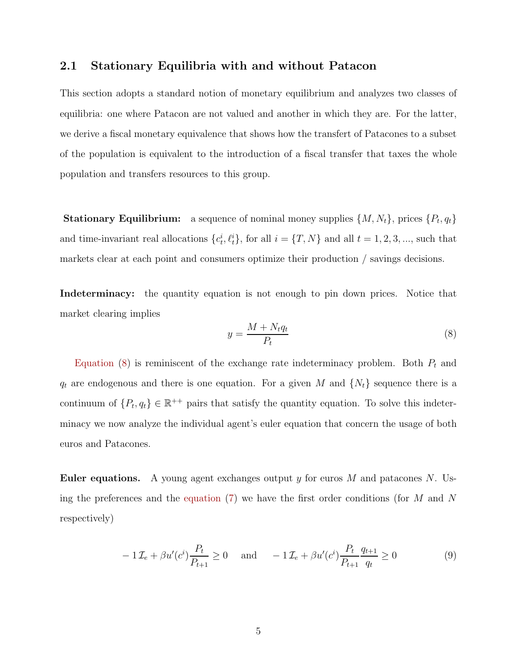#### <span id="page-6-0"></span>2.1 Stationary Equilibria with and without Patacon

This section adopts a standard notion of monetary equilibrium and analyzes two classes of equilibria: one where Patacon are not valued and another in which they are. For the latter, we derive a fiscal monetary equivalence that shows how the transfert of Patacones to a subset of the population is equivalent to the introduction of a fiscal transfer that taxes the whole population and transfers resources to this group.

**Stationary Equilibrium:** a sequence of nominal money supplies  $\{M, N_t\}$ , prices  $\{P_t, q_t\}$ and time-invariant real allocations  $\{c_t^i, \ell_t^i\}$ , for all  $i = \{T, N\}$  and all  $t = 1, 2, 3, \dots$ , such that markets clear at each point and consumers optimize their production / savings decisions.

Indeterminacy: the quantity equation is not enough to pin down prices. Notice that market clearing implies

<span id="page-6-1"></span>
$$
y = \frac{M + N_t q_t}{P_t} \tag{8}
$$

[Equation](#page-6-1)  $(8)$  is reminiscent of the exchange rate indeterminacy problem. Both  $P_t$  and  $q_t$  are endogenous and there is one equation. For a given M and  $\{N_t\}$  sequence there is a continuum of  $\{P_t, q_t\} \in \mathbb{R}^{++}$  pairs that satisfy the quantity equation. To solve this indeterminacy we now analyze the individual agent's euler equation that concern the usage of both euros and Patacones.

**Euler equations.** A young agent exchanges output y for euros M and patacones N. Using the preferences and the [equation](#page-5-0) [\(7\)](#page-5-0) we have the first order conditions (for  $M$  and  $N$ respectively)

$$
-1\mathcal{I}_e + \beta u'(c^i) \frac{P_t}{P_{t+1}} \ge 0 \quad \text{and} \quad -1\mathcal{I}_e + \beta u'(c^i) \frac{P_t}{P_{t+1}} \frac{q_{t+1}}{q_t} \ge 0 \tag{9}
$$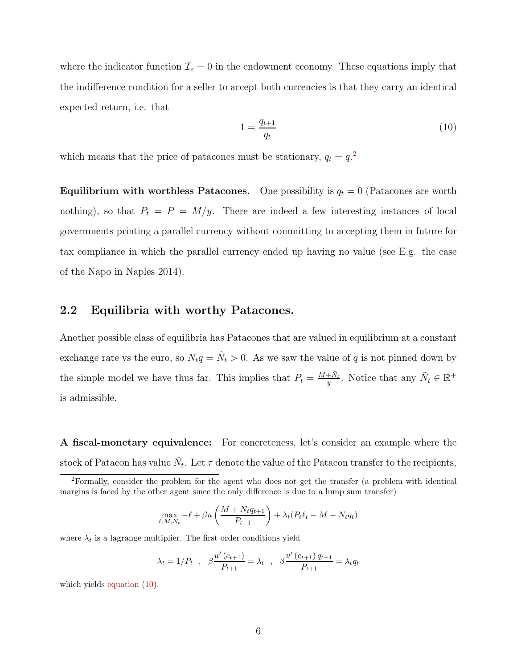where the indicator function  $\mathcal{I}_e = 0$  in the endowment economy. These equations imply that the indifference condition for a seller to accept both currencies is that they carry an identical expected return, i.e. that

<span id="page-7-1"></span>
$$
1 = \frac{q_{t+1}}{q_t} \tag{10}
$$

which means that the price of patacones must be stationary,  $q_t = q^{2}$  $q_t = q^{2}$  $q_t = q^{2}$ .

**Equilibrium with worthless Patacones.** One possibility is  $q_t = 0$  (Patacones are worth nothing), so that  $P_t = P = M/y$ . There are indeed a few interesting instances of local governments printing a parallel currency without committing to accepting them in future for tax compliance in which the parallel currency ended up having no value (see E.g. the case of the Napo in Naples 2014).

#### <span id="page-7-2"></span>2.2 Equilibria with worthy Patacones.

Another possible class of equilibria has Patacones that are valued in equilibrium at a constant exchange rate vs the euro, so  $N_t q = \tilde{N}_t > 0$ . As we saw the value of q is not pinned down by the simple model we have thus far. This implies that  $P_t = \frac{M+\tilde{N}_t}{n}$  $\frac{\dagger \tilde{N}_t}{y}$ . Notice that any  $\tilde{N}_t \in \mathbb{R}^+$ is admissible.

A fiscal-monetary equivalence: For concreteness, let's consider an example where the stock of Patacon has value  $\tilde{N}_t$ . Let  $\tau$  denote the value of the Patacon transfer to the recipients,

$$
\max_{\ell, M, N_t} -\ell + \beta u \left( \frac{M + N_t q_{t+1}}{P_{t+1}} \right) + \lambda_t (P_t \ell_t - M - N_t q_t)
$$

where  $\lambda_t$  is a lagrange multiplier. The first order conditions yield

$$
\lambda_t = 1/P_t
$$
,  $\beta \frac{u'(c_{t+1})}{P_{t+1}} = \lambda_t$ ,  $\beta \frac{u'(c_{t+1}) q_{t+1}}{P_{t+1}} = \lambda_t q_t$ 

which yields [equation](#page-7-1) [\(10\)](#page-7-1).

<span id="page-7-0"></span><sup>2</sup>Formally, consider the problem for the agent who does not get the transfer (a problem with identical margins is faced by the other agent since the only difference is due to a lump sum transfer)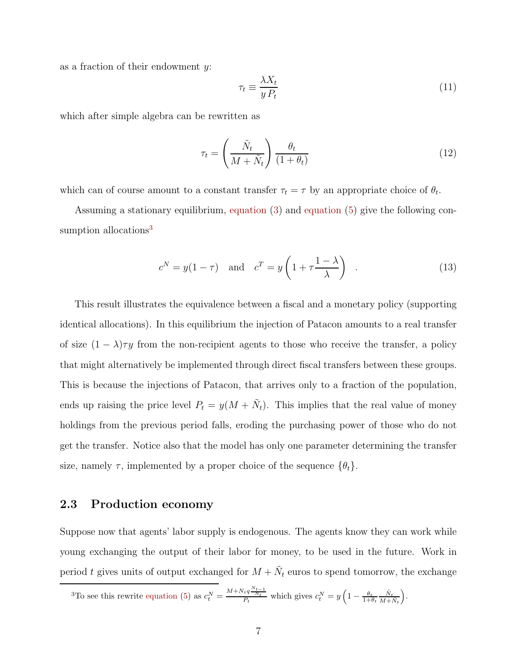as a fraction of their endowment  $y$ :

<span id="page-8-2"></span>
$$
\tau_t \equiv \frac{\lambda X_t}{y P_t} \tag{11}
$$

which after simple algebra can be rewritten as

$$
\tau_t = \left(\frac{\tilde{N}_t}{M + \tilde{N}_t}\right) \frac{\theta_t}{(1 + \theta_t)}\tag{12}
$$

which can of course amount to a constant transfer  $\tau_t = \tau$  by an appropriate choice of  $\theta_t$ .

Assuming a stationary equilibrium, [equation](#page-5-1) [\(3\)](#page-5-1) and [equation](#page-5-2) [\(5\)](#page-5-2) give the following con-sumption allocations<sup>[3](#page-8-1)</sup>

<span id="page-8-3"></span>
$$
c^N = y(1 - \tau)
$$
 and  $c^T = y\left(1 + \tau \frac{1 - \lambda}{\lambda}\right)$ . (13)

This result illustrates the equivalence between a fiscal and a monetary policy (supporting identical allocations). In this equilibrium the injection of Patacon amounts to a real transfer of size  $(1 - \lambda)\tau y$  from the non-recipient agents to those who receive the transfer, a policy that might alternatively be implemented through direct fiscal transfers between these groups. This is because the injections of Patacon, that arrives only to a fraction of the population, ends up raising the price level  $P_t = y(M + \tilde{N}_t)$ . This implies that the real value of money holdings from the previous period falls, eroding the purchasing power of those who do not get the transfer. Notice also that the model has only one parameter determining the transfer size, namely  $\tau$ , implemented by a proper choice of the sequence  $\{\theta_t\}$ .

#### <span id="page-8-0"></span>2.3 Production economy

Suppose now that agents' labor supply is endogenous. The agents know they can work while young exchanging the output of their labor for money, to be used in the future. Work in period t gives units of output exchanged for  $M + \tilde{N}_t$  euros to spend tomorrow, the exchange

<span id="page-8-1"></span><sup>3</sup>To see this rewrite equation (5) as 
$$
c_t^N = \frac{M + N_t q \frac{N_{t-1}}{N_t}}{P_t}
$$
 which gives  $c_t^N = y \left(1 - \frac{\theta_t}{1 + \theta_t} \frac{\tilde{N}_t}{M + \tilde{N}_t}\right)$ .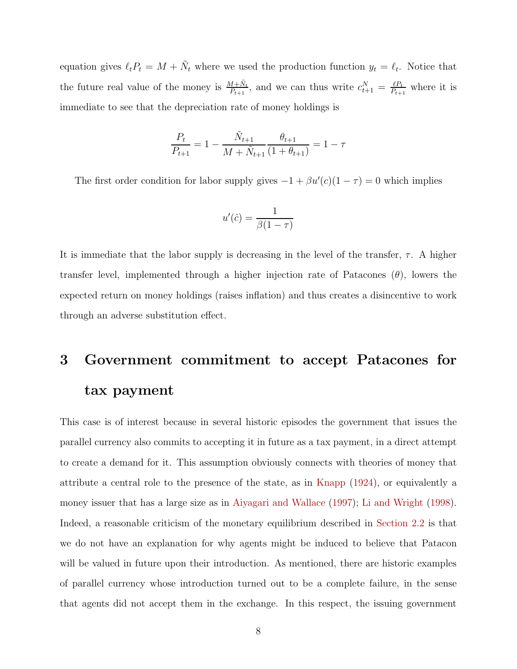equation gives  $\ell_t P_t = M + \tilde{N}_t$  where we used the production function  $y_t = \ell_t$ . Notice that the future real value of the money is  $\frac{M+\tilde{N}_t}{P_{t+1}}$ , and we can thus write  $c_{t+1}^N = \frac{\ell P_t}{P_{t+1}}$  $\frac{\ell P_t}{P_{t+1}}$  where it is immediate to see that the depreciation rate of money holdings is

$$
\frac{P_t}{P_{t+1}} = 1 - \frac{\tilde{N}_{t+1}}{M + \tilde{N}_{t+1}} \frac{\theta_{t+1}}{(1 + \theta_{t+1})} = 1 - \tau
$$

The first order condition for labor supply gives  $-1 + \beta u'(c)(1 - \tau) = 0$  which implies

$$
u'(\hat{c}) = \frac{1}{\beta(1-\tau)}
$$

It is immediate that the labor supply is decreasing in the level of the transfer,  $\tau$ . A higher transfer level, implemented through a higher injection rate of Patacones  $(\theta)$ , lowers the expected return on money holdings (raises inflation) and thus creates a disincentive to work through an adverse substitution effect.

## <span id="page-9-0"></span>3 Government commitment to accept Patacones for tax payment

This case is of interest because in several historic episodes the government that issues the parallel currency also commits to accepting it in future as a tax payment, in a direct attempt to create a demand for it. This assumption obviously connects with theories of money that attribute a central role to the presence of the state, as in [Knapp](#page-12-10) [\(1924](#page-12-10)), or equivalently a money issuer that has a large size as in [Aiyagari and Wallace](#page-12-8) [\(1997](#page-12-8)); [Li and Wright](#page-12-9) [\(1998](#page-12-9)). Indeed, a reasonable criticism of the monetary equilibrium described in [Section 2.2](#page-7-2) is that we do not have an explanation for why agents might be induced to believe that Patacon will be valued in future upon their introduction. As mentioned, there are historic examples of parallel currency whose introduction turned out to be a complete failure, in the sense that agents did not accept them in the exchange. In this respect, the issuing government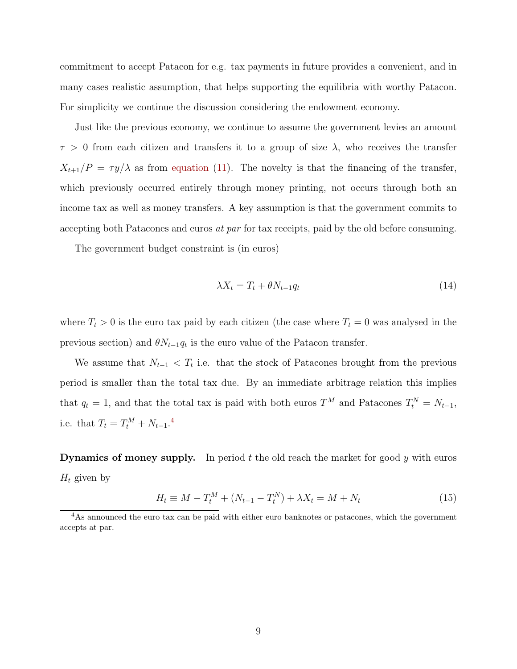commitment to accept Patacon for e.g. tax payments in future provides a convenient, and in many cases realistic assumption, that helps supporting the equilibria with worthy Patacon. For simplicity we continue the discussion considering the endowment economy.

Just like the previous economy, we continue to assume the government levies an amount  $\tau > 0$  from each citizen and transfers it to a group of size  $\lambda$ , who receives the transfer  $X_{t+1}/P = \tau y/\lambda$  as from [equation](#page-8-2) [\(11\)](#page-8-2). The novelty is that the financing of the transfer, which previously occurred entirely through money printing, not occurs through both an income tax as well as money transfers. A key assumption is that the government commits to accepting both Patacones and euros at par for tax receipts, paid by the old before consuming.

The government budget constraint is (in euros)

$$
\lambda X_t = T_t + \theta N_{t-1} q_t \tag{14}
$$

where  $T_t > 0$  is the euro tax paid by each citizen (the case where  $T_t = 0$  was analysed in the previous section) and  $\theta N_{t-1}q_t$  is the euro value of the Patacon transfer.

We assume that  $N_{t-1} < T_t$  i.e. that the stock of Patacones brought from the previous period is smaller than the total tax due. By an immediate arbitrage relation this implies that  $q_t = 1$ , and that the total tax is paid with both euros  $T^M$  and Patacones  $T_t^N = N_{t-1}$ , i.e. that  $T_t = T_t^M + N_{t-1}.^4$  $T_t = T_t^M + N_{t-1}.^4$ 

**Dynamics of money supply.** In period t the old reach the market for good y with euros  $H_t$  given by

$$
H_t \equiv M - T_t^M + (N_{t-1} - T_t^N) + \lambda X_t = M + N_t \tag{15}
$$

<span id="page-10-0"></span><sup>&</sup>lt;sup>4</sup>As announced the euro tax can be paid with either euro banknotes or patacones, which the government accepts at par.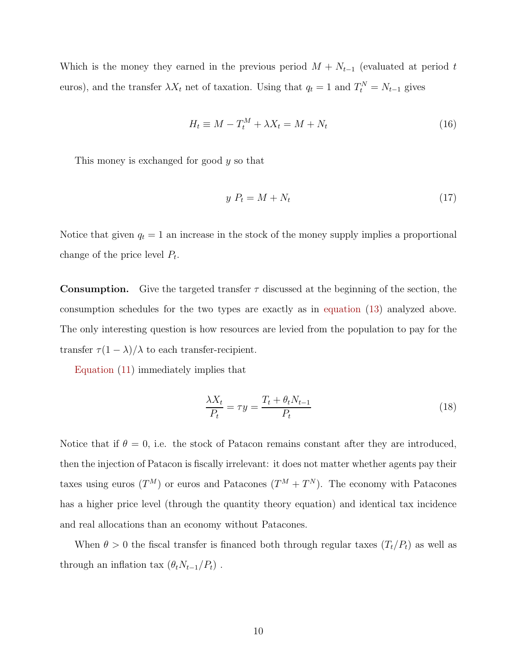Which is the money they earned in the previous period  $M + N_{t-1}$  (evaluated at period t euros), and the transfer  $\lambda X_t$  net of taxation. Using that  $q_t = 1$  and  $T_t^N = N_{t-1}$  gives

$$
H_t \equiv M - T_t^M + \lambda X_t = M + N_t \tag{16}
$$

This money is exchanged for good y so that

$$
y \ P_t = M + N_t \tag{17}
$$

Notice that given  $q_t = 1$  an increase in the stock of the money supply implies a proportional change of the price level  $P_t$ .

**Consumption.** Give the targeted transfer  $\tau$  discussed at the beginning of the section, the consumption schedules for the two types are exactly as in [equation](#page-8-3) [\(13\)](#page-8-3) analyzed above. The only interesting question is how resources are levied from the population to pay for the transfer  $\tau (1 - \lambda)/\lambda$  to each transfer-recipient.

[Equation](#page-8-2) [\(11\)](#page-8-2) immediately implies that

$$
\frac{\lambda X_t}{P_t} = \tau y = \frac{T_t + \theta_t N_{t-1}}{P_t} \tag{18}
$$

Notice that if  $\theta = 0$ , i.e. the stock of Patacon remains constant after they are introduced, then the injection of Patacon is fiscally irrelevant: it does not matter whether agents pay their taxes using euros  $(T^M)$  or euros and Patacones  $(T^M + T^N)$ . The economy with Patacones has a higher price level (through the quantity theory equation) and identical tax incidence and real allocations than an economy without Patacones.

When  $\theta > 0$  the fiscal transfer is financed both through regular taxes  $(T_t/P_t)$  as well as through an inflation tax  $(\theta_t N_{t-1}/P_t)$ .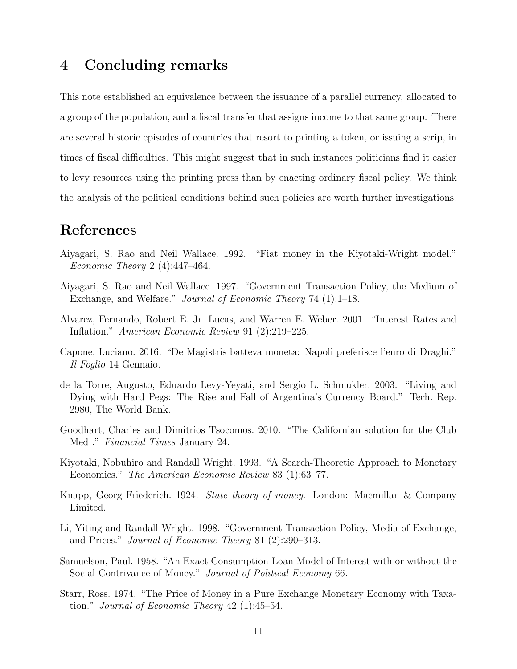### 4 Concluding remarks

This note established an equivalence between the issuance of a parallel currency, allocated to a group of the population, and a fiscal transfer that assigns income to that same group. There are several historic episodes of countries that resort to printing a token, or issuing a scrip, in times of fiscal difficulties. This might suggest that in such instances politicians find it easier to levy resources using the printing press than by enacting ordinary fiscal policy. We think the analysis of the political conditions behind such policies are worth further investigations.

## References

- <span id="page-12-3"></span>Aiyagari, S. Rao and Neil Wallace. 1992. "Fiat money in the Kiyotaki-Wright model." *Economic Theory* 2 (4):447-464.
- <span id="page-12-8"></span>Aiyagari, S. Rao and Neil Wallace. 1997. "Government Transaction Policy, the Medium of Exchange, and Welfare." Journal of Economic Theory 74 (1):1–18.
- <span id="page-12-5"></span>Alvarez, Fernando, Robert E. Jr. Lucas, and Warren E. Weber. 2001. "Interest Rates and Inflation." American Economic Review 91 (2):219–225.
- <span id="page-12-6"></span>Capone, Luciano. 2016. "De Magistris batteva moneta: Napoli preferisce l'euro di Draghi." Il Foglio 14 Gennaio.
- <span id="page-12-0"></span>de la Torre, Augusto, Eduardo Levy-Yeyati, and Sergio L. Schmukler. 2003. "Living and Dying with Hard Pegs: The Rise and Fall of Argentina's Currency Board." Tech. Rep. 2980, The World Bank.
- <span id="page-12-1"></span>Goodhart, Charles and Dimitrios Tsocomos. 2010. "The Californian solution for the Club Med ." Financial Times January 24.
- <span id="page-12-2"></span>Kiyotaki, Nobuhiro and Randall Wright. 1993. "A Search-Theoretic Approach to Monetary Economics." The American Economic Review 83 (1):63–77.
- <span id="page-12-10"></span>Knapp, Georg Friederich. 1924. State theory of money. London: Macmillan & Company Limited.
- <span id="page-12-9"></span>Li, Yiting and Randall Wright. 1998. "Government Transaction Policy, Media of Exchange, and Prices." Journal of Economic Theory 81 (2):290–313.
- <span id="page-12-4"></span>Samuelson, Paul. 1958. "An Exact Consumption-Loan Model of Interest with or without the Social Contrivance of Money." Journal of Political Economy 66.
- <span id="page-12-7"></span>Starr, Ross. 1974. "The Price of Money in a Pure Exchange Monetary Economy with Taxation." Journal of Economic Theory 42 (1):45–54.